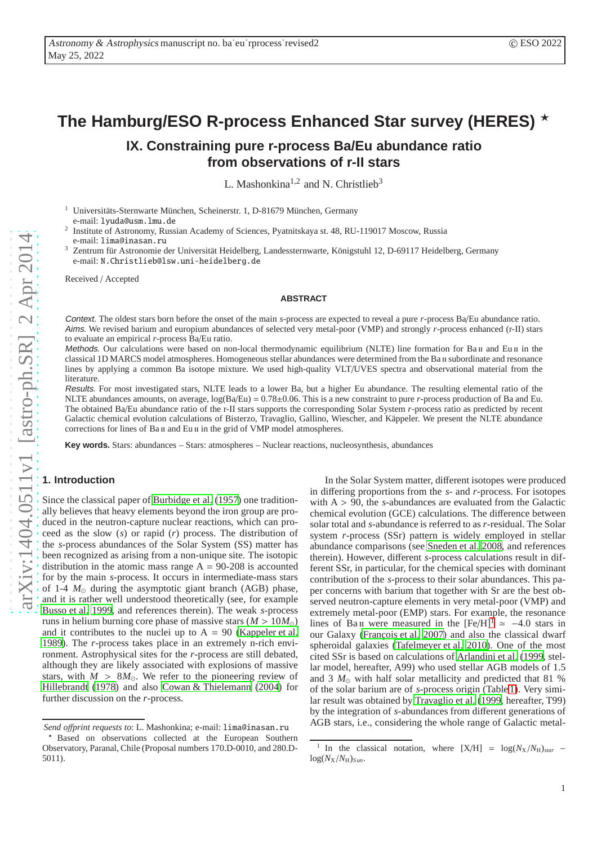# **The Hamburg/ESO R-process Enhanced Star survey (HERES)** ⋆

# **IX. Constraining pure r-process Ba/Eu abundance ratio from observations of r-II stars**

L. Mashonkina<sup>1,2</sup> and N. Christlieb<sup>3</sup>

<sup>1</sup> Universitäts-Sternwarte München, Scheinerstr. 1, D-81679 München, Germany

e-mail: lyuda@usm.lmu.de

- 2 Institute of Astronomy, Russian Academy of Sciences, Pyatnitskaya st. 48, RU-119017 Moscow, Russia e-mail: lima@inasan.ru
- <sup>3</sup> Zentrum für Astronomie der Universität Heidelberg, Landessternwarte, Königstuhl 12, D-69117 Heidelberg, Germany e-mail: N.Christlieb@lsw.uni-heidelberg.de

Received / Accepted

#### **ABSTRACT**

Context. The oldest stars born before the onset of the main *s*-process are expected to reveal a pure *r*-process Ba/Eu abundance ratio. Aims. We revised barium and europium abundances of selected very metal-poor (VMP) and strongly *r*-process enhanced (r-II) stars to evaluate an empirical *r*-process Ba/Eu ratio.

Methods. Our calculations were based on non-local thermodynamic equilibrium (NLTE) line formation for Ba II and Eu II in the classical 1D MARCS model atmospheres. Homogeneous stellar abundances were determined from the Ba II subordinate and resonance lines by applying a common Ba isotope mixture. We used high-quality VLT/UVES spectra and observational material from the literature.

Results. For most investigated stars, NLTE leads to a lower Ba, but a higher Eu abundance. The resulting elemental ratio of the NLTE abundances amounts, on average, log(Ba/Eu) = 0.78 ±0.06. This is a new constraint to pure *r*-process production of Ba and Eu. The obtained Ba/Eu abundance ratio of the r-II stars supports the corresponding Solar System *r*-process ratio as predicted by recent Galactic chemical evolution calculations of Bisterzo, Travaglio, Gallino, Wiescher, and Käppeler. We present the NLTE abundance corrections for lines of Ba II and Eu II in the grid of VMP model atmospheres.

**Key words.** Stars: abundances – Stars: atmospheres – Nuclear reactions, nucleosynthesis, abundances

# **1. Introduction**

Since the classical paper of [Burbidge et al. \(1957\)](#page-6-0) one traditionally believes that heavy elements beyond the iron group are produced in the neutron-capture nuclear reactions, which can proceed as the slow (*s*) or rapid (*r*) process. The distribution of the *s*-process abundances of the Solar System (SS) matter has been recognized as arising from a non-unique site. The isotopic distribution in the atomic mass range  $A = 90-208$  is accounted for by the main *s*-process. It occurs in intermediate-mass stars of 1-4  $M_{\odot}$  during the asymptotic giant branch (AGB) phase, and it is rather well understood theoretically (see, for example [Busso et al. 1999,](#page-6-1) and references therein). The weak *s*-process runs in helium burning core phase of massive stars ( *M* > 10 *M*<sup>⊙</sup> ) and it contributes to the nuclei up to  $A = 90$  [\(Kappeler et al.](#page-7-0) [1989](#page-7-0)). The *r*-process takes place in an extremely n-rich environment. Astrophysical sites for the *r*-process are still debated, although they are likely associated with explosions of massive stars, with  $M > 8M_{\odot}$ . We refer to the pioneering review of [Hillebrandt \(1978](#page-7-1)) and also [Cowan & Thielemann](#page-6-2) [\(2004\)](#page-6-2) for further discussion on the *r*-process.

In the Solar System matter, di fferent isotopes were produced in di ffering proportions from the *s*- and *r*-process. For isotopes with A > 90, the *s*-abundances are evaluated from the Galactic chemical evolution (GCE) calculations. The di fference between solar total and *s*-abundance is referred to as *r*-residual. The Solar system *r*-process (SSr) pattern is widely employed in stellar abundance comparisons (see [Sneden et al. 2008](#page-7-2), and references therein). However, di fferent *s*-process calculations result in different SSr, in particular, for the chemical species with dominant contribution of the *s*-process to their solar abundances. This paper concerns with barium that together with Sr are the best observed neutron-capture elements in very metal-poor (VMP) and extremely metal-poor (EMP) stars. For example, the resonance lines of Ba II were measured in the  $[Fe/H]$ <sup>[1](#page-0-0)</sup>  $\approx$  -4.0 stars in our Galaxy (François et al. 2007) and also the classical dwarf spheroidal galaxies [\(Tafelmeyer et al. 2010](#page-7-3)). One of the mos t cited SSr is based on calculations of [Arlandini et al.](#page-6-4) [\(1999,](#page-6-4) stellar model, hereafter, A99) who used stellar AGB models of 1.5 and 3  $M_{\odot}$  with half solar metallicity and predicted that 81 % of the solar barium are of *s*-process origin (Table [1\)](#page-2-0). Very similar result was obtained by [Travaglio et al. \(1999,](#page-7-4) hereafter, T99) by the integration of s-abundances from different generations of AGB stars, i.e., considering the whole range of Galactic metal-

*Send o*ff*print requests to*: L. Mashonkina; e-mail: lima@inasan.ru

Based on observations collected at the European Southern Observatory, Paranal, Chile (Proposal numbers 170.D-0010, and 280.D-5011).

<span id="page-0-0"></span><sup>&</sup>lt;sup>1</sup> In the classical notation, where  $[X/H] = \log(N_X/N_H)_{star}$  –  $log(N_X/N_H)_{Sun}.$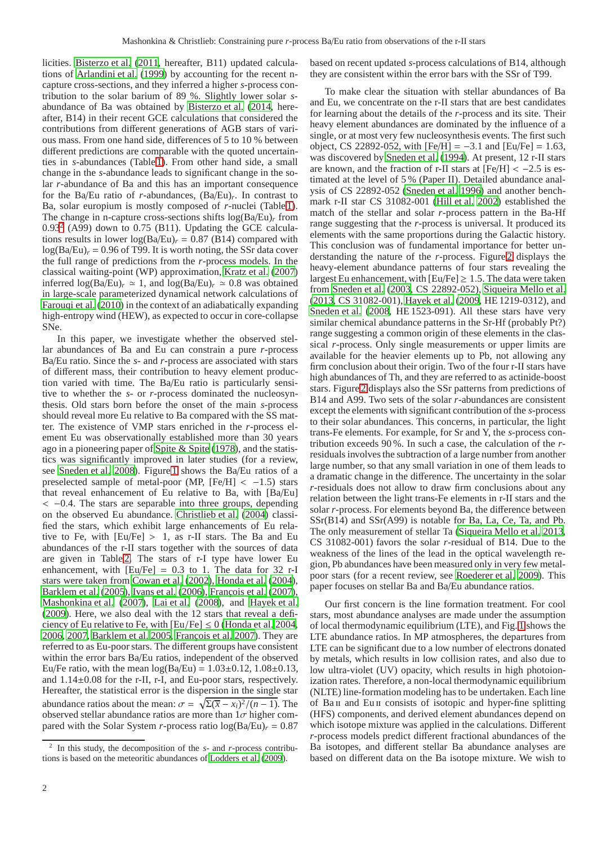licities. [Bisterzo et al.](#page-6-5) [\(2011,](#page-6-5) hereafter, B11) updated calculations of [Arlandini et al. \(1999](#page-6-4)) by accounting for the recent ncapture cross-sections, and they inferred a higher *s*-process contribution to the solar barium of 89 %. Slightly lower solar *s*abundance of Ba was obtained by [Bisterzo et al. \(2014](#page-6-6), hereafter, B14) in their recent GCE calculations that considered the contributions from different generations of AGB stars of various mass. From one hand side, differences of 5 to 10 % between different predictions are comparable with the quoted uncertainties in *s*-abundances (Table [1\)](#page-2-0). From other hand side, a small change in the *s*-abundance leads to significant change in the solar *r*-abundance of Ba and this has an important consequence for the Ba/Eu ratio of *r*-abundances, (Ba/Eu)*<sup>r</sup>* . In contrast to Ba, solar europium is mostly composed of *r*-nuclei (Table [1\)](#page-2-0). The change in n-capture cross-sections shifts log(Ba/Eu)*<sup>r</sup>* from  $0.93<sup>2</sup>$  $0.93<sup>2</sup>$  $0.93<sup>2</sup>$  (A99) down to 0.75 (B11). Updating the GCE calculations results in lower  $log(Ba/Eu)$ <sub>r</sub> = 0.87 (B14) compared with  $log(Ba/Eu)$ <sub>r</sub> = 0.96 of T99. It is worth noting, the SSr data cover the full range of predictions from the *r*-process models. In the classical waiting-point (WP) approximation, [Kratz et al.](#page-7-5) [\(2007\)](#page-7-5) inferred  $log(Ba/Eu)$ <sub>r</sub>  $\simeq 1$ , and  $log(Ba/Eu)$ <sub>r</sub>  $\simeq 0.8$  was obtained in large-scale parameterized dynamical network calculations of [Farouqi et al. \(2010](#page-6-7)) in the context of an adiabatically expanding high-entropy wind (HEW), as expected to occur in core-collapse SNe.

In this paper, we investigate whether the observed stellar abundances of Ba and Eu can constrain a pure *r*-process Ba/Eu ratio. Since the *s*- and *r*-process are associated with stars of different mass, their contribution to heavy element production varied with time. The Ba/Eu ratio is particularly sensitive to whether the *s*- or *r*-process dominated the nucleosynthesis. Old stars born before the onset of the main *s*-process should reveal more Eu relative to Ba compared with the SS matter. The existence of VMP stars enriched in the *r*-process element Eu was observationally established more than 30 years ago in a pioneering paper of [Spite & Spite \(1978](#page-7-6)), and the statistics was significantly improved in later studies (for a review, see [Sneden et al. 2008\)](#page-7-2). Figure [1](#page-2-1) shows the Ba/Eu ratios of a preselected sample of metal-poor (MP,  $[Fe/H] < -1.5$ ) stars that reveal enhancement of Eu relative to Ba, with [Ba/Eu] < −0.4. The stars are separable into three groups, depending on the observed Eu abundance. [Christlieb et al. \(2004](#page-6-8)) classified the stars, which exhibit large enhancements of Eu relative to Fe, with  $[Eu/Fe] > 1$ , as r-II stars. The Ba and Eu abundances of the r-II stars together with the sources of data are given in Table [2.](#page-3-0) The stars of r-I type have lower Eu enhancement, with  $[Eu/Fe] = 0.3$  to 1. The data for 32 r-I stars were taken from [Cowan et al. \(2002\)](#page-6-9), [Honda et al. \(2004](#page-7-7)), [Barklem et al. \(2005\)](#page-6-10), [Ivans et al. \(2006](#page-7-8)), François et al. (2007), [Mashonkina et al. \(2007](#page-7-9)), [Lai et al.](#page-7-10) [\(2008\)](#page-7-10), and [Hayek et al.](#page-7-11) [\(2009\)](#page-7-11). Here, we also deal with the 12 stars that reveal a deficiency of Eu relative to Fe, with  $[Eu/Fe] \le 0$  [\(Honda et al. 2004,](#page-7-7) [2006](#page-7-12), [2007,](#page-7-13) [Barklem et al. 2005,](#page-6-10) François et al. 2007). They are referred to as Eu-poor stars. The different groups have consistent within the error bars Ba/Eu ratios, independent of the observed Eu/Fe ratio, with the mean  $log(Ba/Eu) = 1.03 \pm 0.12$ ,  $1.08 \pm 0.13$ , and 1.14±0.08 for the r-II, r-I, and Eu-poor stars, respectively. Hereafter, the statistical error is the dispersion in the single star abundance ratios about the mean:  $\sigma = \sqrt{\sum(\overline{x} - x_i)^2/(n-1)}$ . The observed stellar abundance ratios are more than  $1\sigma$  higher compared with the Solar System *r*-process ratio  $log(Ba/Eu)<sub>r</sub> = 0.87$ 

based on recent updated *s*-process calculations of B14, although they are consistent within the error bars with the SSr of T99.

To make clear the situation with stellar abundances of Ba and Eu, we concentrate on the r-II stars that are best candidates for learning about the details of the *r*-process and its site. Their heavy element abundances are dominated by the influence of a single, or at most very few nucleosynthesis events. The first such object, CS 22892-052, with [Fe/H] = −3.1 and [Eu/Fe] = 1.63, was discovered by [Sneden et al. \(1994](#page-7-15)). At present, 12 r-II stars are known, and the fraction of r-II stars at  $[Fe/H] < -2.5$  is estimated at the level of 5 % (Paper II). Detailed abundance analysis of CS 22892-052 [\(Sneden et al. 1996](#page-7-16)) and another benchmark r-II star CS 31082-001 [\(Hill et al. 2002](#page-7-17)) established the match of the stellar and solar *r*-process pattern in the Ba-Hf range suggesting that the *r*-process is universal. It produced its elements with the same proportions during the Galactic history. This conclusion was of fundamental importance for better understanding the nature of the *r*-process. Figure [2](#page-2-2) displays the heavy-element abundance patterns of four stars revealing the largest Eu enhancement, with  $[Eu/Fe] \ge 1.5$ . The data were taken from [Sneden et al. \(2003](#page-7-18), CS 22892-052), [Siqueira Mello et al.](#page-7-19) [\(2013](#page-7-19), CS 31082-001), [Hayek et al.](#page-7-11) [\(2009,](#page-7-11) HE 1219-0312), and [Sneden et al. \(2008,](#page-7-2) HE 1523-091). All these stars have very similar chemical abundance patterns in the Sr-Hf (probably Pt?) range suggesting a common origin of these elements in the classical *r*-process. Only single measurements or upper limits are available for the heavier elements up to Pb, not allowing any firm conclusion about their origin. Two of the four r-II stars have high abundances of Th, and they are referred to as actinide-boost stars. Figure [2](#page-2-2) displays also the SSr patterns from predictions of B14 and A99. Two sets of the solar *r*-abundances are consistent except the elements with significant contribution of the *s*-process to their solar abundances. This concerns, in particular, the light trans-Fe elements. For example, for Sr and Y, the *s*-process contribution exceeds 90 %. In such a case, the calculation of the *r*residuals involves the subtraction of a large number from another large number, so that any small variation in one of them leads to a dramatic change in the difference. The uncertainty in the solar *r*-residuals does not allow to draw firm conclusions about any relation between the light trans-Fe elements in r-II stars and the solar *r*-process. For elements beyond Ba, the difference between SSr(B14) and SSr(A99) is notable for Ba, La, Ce, Ta, and Pb. The only measurement of stellar Ta [\(Siqueira Mello et al. 2013](#page-7-19), CS 31082-001) favors the solar *r*-residual of B14. Due to the weakness of the lines of the lead in the optical wavelength region, Pb abundances have been measured only in very few metalpoor stars (for a recent review, see [Roederer et al. 2009\)](#page-7-20). This paper focuses on stellar Ba and Ba/Eu abundance ratios.

Our first concern is the line formation treatment. For cool stars, most abundance analyses are made under the assumption of local thermodynamic equilibrium (LTE), and Fig. [1](#page-2-1) shows the LTE abundance ratios. In MP atmospheres, the departures from LTE can be significant due to a low number of electrons donated by metals, which results in low collision rates, and also due to low ultra-violet (UV) opacity, which results in high photoionization rates. Therefore, a non-local thermodynamic equilibrium (NLTE) line-formation modeling has to be undertaken. Each line of Ba<sub>II</sub> and Eu<sub>II</sub> consists of isotopic and hyper-fine splitting (HFS) components, and derived element abundances depend on which isotope mixture was applied in the calculations. Different *r*-process models predict different fractional abundances of the Ba isotopes, and different stellar Ba abundance analyses are based on different data on the Ba isotope mixture. We wish to

<span id="page-1-0"></span><sup>2</sup> In this study, the decomposition of the *s*- and *r*-process contributions is based on the meteoritic abundances of [Lodders et al.](#page-7-14) [\(2009](#page-7-14)).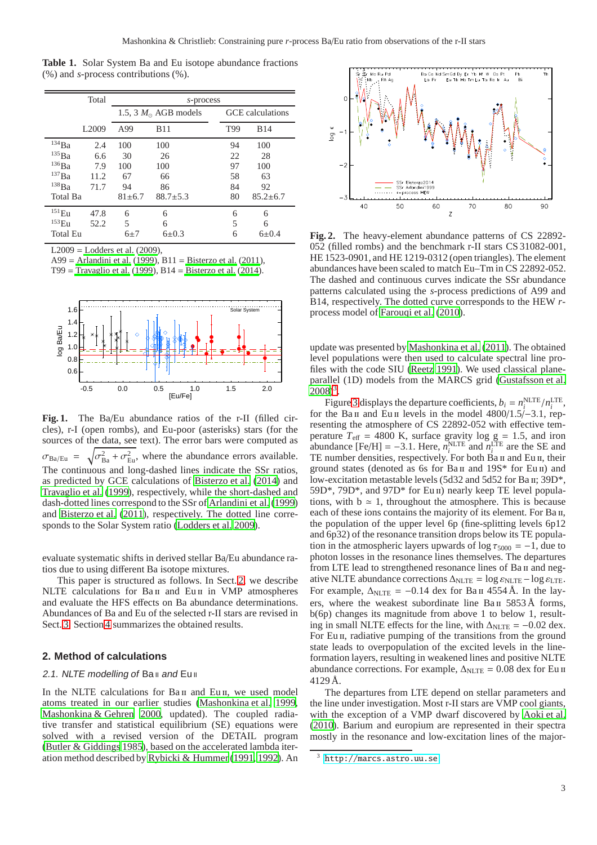<span id="page-2-0"></span>**Table 1.** Solar System Ba and Eu isotope abundance fractions (%) and *s*-process contributions (%).

|                     | Total             | s-process    |                               |     |                  |  |  |  |  |
|---------------------|-------------------|--------------|-------------------------------|-----|------------------|--|--|--|--|
|                     |                   |              | 1.5, 3 $M_{\odot}$ AGB models |     | GCE calculations |  |  |  |  |
|                     | L <sub>2009</sub> | A99          | <b>B11</b>                    | T99 | <b>B</b> 14      |  |  |  |  |
| $^{134}\mathrm{Ba}$ | 2.4               | 100          | 100                           | 94  | 100              |  |  |  |  |
| $^{135}\rm{Ba}$     | 6.6               | 30           | 26                            | 22  | 28               |  |  |  |  |
| $^{136}\mathrm{Ba}$ | 7.9               | 100          | 100                           | 97  | 100              |  |  |  |  |
| $^{137}\rm{Ba}$     | 11.2              | 67           | 66                            | 58  | 63               |  |  |  |  |
| $^{138}\mathrm{Ba}$ | 71.7              | 94           | 86                            | 84  | 92               |  |  |  |  |
| Total Ba            |                   | $81 \pm 6.7$ | $88.7 \pm 5.3$                | 80  | $85.2 + 6.7$     |  |  |  |  |
| $^{151}\mathrm{Eu}$ | 47.8              | 6            | 6                             | 6   | 6                |  |  |  |  |
| $^{153}\mathrm{Eu}$ | 52.2              | 5            | 6                             | 5   | 6                |  |  |  |  |
| <b>Total Eu</b>     |                   | $6\pm7$      | $6\pm 0.3$                    | 6   | $6 + 0.4$        |  |  |  |  |

 $L2009$  = [Lodders et al. \(2009\)](#page-7-14),

A99 = [Arlandini et al. \(1999\)](#page-6-4), B11 = [Bisterzo et al. \(2011](#page-6-5)),

T99 = [Travaglio et al.](#page-7-4)  $(1999)$  $(1999)$ , B14 = Bisterzo et al.  $(2014)$ .



<span id="page-2-1"></span>Fig. 1. The Ba/Eu abundance ratios of the r-II (filled circles), r-I (open rombs), and Eu-poor (asterisks) stars (for the sources of the data, see text). The error bars were computed as  $\sigma_{Ba/Eu} = \sqrt{\sigma_{Ba}^2 + \sigma_{Eu}^2}$ , where the abundance errors available. The continuous and long-dashed lines indicate the SSr ratios, as predicted by GCE calculations of [Bisterzo et al.](#page-6-6) [\(2014\)](#page-6-6) and [Travaglio et al. \(1999\)](#page-7-4), respectively, while the short-dashed and dash-dotted lines correspond to the SSr of [Arlandini et al.](#page-6-4) [\(1999\)](#page-6-4) and [Bisterzo et al.](#page-6-5) [\(2011\)](#page-6-5), respectively. The dotted line corresponds to the Solar System ratio [\(Lodders et al. 2009\)](#page-7-14).

evaluate systematic shifts in derived stellar Ba/Eu abundance ratios due to using different Ba isotope mixtures.

This paper is structured as follows. In Sect. [2,](#page-2-3) we describe NLTE calculations for Ba II and Eu II in VMP atmospheres and evaluate the HFS effects on Ba abundance determinations. Abundances of Ba and Eu of the selected r-II stars are revised in Sect. [3.](#page-5-0) Section [4](#page-6-11) summarizes the obtained results.

## <span id="page-2-3"></span>**2. Method of calculations**

### 2.1. NLTE modelling of Ball and Eull

In the NLTE calculations for Ba<sub>II</sub> and Eu<sub>II</sub>, we used model atoms treated in our earlier studies [\(Mashonkina et al. 1999,](#page-7-21) [Mashonkina & Gehren 2000](#page-7-22), updated). The coupled radiative transfer and statistical equilibrium (SE) equations were solved with a revised version of the DETAIL program [\(Butler & Giddings 1985\)](#page-6-12), based on the accelerated lambda iteration method described by [Rybicki & Hummer](#page-7-23) [\(1991,](#page-7-23) [1992\)](#page-7-24). An



<span id="page-2-2"></span>**Fig. 2.** The heavy-element abundance patterns of CS 22892- 052 (filled rombs) and the benchmark r-II stars CS 31082-001, HE 1523-0901, and HE 1219-0312 (open triangles). The element abundances have been scaled to match Eu–Tm in CS 22892-052. The dashed and continuous curves indicate the SSr abundance patterns calculated using the *s*-process predictions of A99 and B14, respectively. The dotted curve corresponds to the HEW *r*process model of [Farouqi et al. \(2010\)](#page-6-7).

update was presented by [Mashonkina et al. \(2011\)](#page-7-25). The obtained level populations were then used to calculate spectral line profiles with the code SIU [\(Reetz 1991](#page-7-26)). We used classical planeparallel (1D) models from the MARCS grid [\(Gustafsson et al.](#page-7-27)  $2008)^3$  $2008)^3$  $2008)^3$ .

Figur[e 3](#page-3-1) displays the departure coefficients,  $b_i = n_i^{\text{NLTE}}/n_i^{\text{LTE}}$ , for the Ba<sub>II</sub> and Eu<sub>II</sub> levels in the model  $4800/1.5/-3.1$ , representing the atmosphere of CS 22892-052 with effective temperature  $T_{\text{eff}}$  = 4800 K, surface gravity log g = 1.5, and iron abundance  $[Fe/H] = -3.1$ . Here,  $n_i^{\text{NLTE}}$  and  $n_i^{\text{LTE}}$  are the SE and TE number densities, respectively. For both Ba II and Eu II, their ground states (denoted as 6s for Ba $\scriptstyle\rm II$  and 19S\* for Eu  $\scriptstyle\rm II$ ) and low-excitation metastable levels (5d32 and 5d52 for Ba II; 39D\*, 59D\*, 79D\*, and 97D\* for Eu ii) nearly keep TE level populations, with  $b \approx 1$ , throughout the atmosphere. This is because each of these ions contains the majority of its element. For Ba<sub>II</sub>, the population of the upper level 6p (fine-splitting levels 6p12 and 6p32) of the resonance transition drops below its TE population in the atmospheric layers upwards of  $\log \tau_{5000} = -1$ , due to photon losses in the resonance lines themselves. The departures from LTE lead to strengthened resonance lines of Ba II and negative NLTE abundance corrections  $\Delta_{NLTE} = \log \varepsilon_{NLTE} - \log \varepsilon_{LTE}$ . For example,  $\Delta_{NLTE} = -0.14$  dex for Ba<sub>II</sub> 4554 Å. In the layers, where the weakest subordinate line Ba II 5853 Å forms, b(6p) changes its magnitude from above 1 to below 1, resulting in small NLTE effects for the line, with  $\Delta_{\text{NLTE}} = -0.02$  dex. For Eu II, radiative pumping of the transitions from the ground state leads to overpopulation of the excited levels in the lineformation layers, resulting in weakened lines and positive NLTE abundance corrections. For example,  $\Delta_{NLTE} = 0.08$  dex for Eu ii 4129 Å.

The departures from LTE depend on stellar parameters and the line under investigation. Most r-II stars are VMP cool giants, with the exception of a VMP dwarf discovered by [Aoki et al.](#page-6-13) [\(2010](#page-6-13)). Barium and europium are represented in their spectra mostly in the resonance and low-excitation lines of the major-

<span id="page-2-4"></span><sup>3</sup> <http://marcs.astro.uu.se>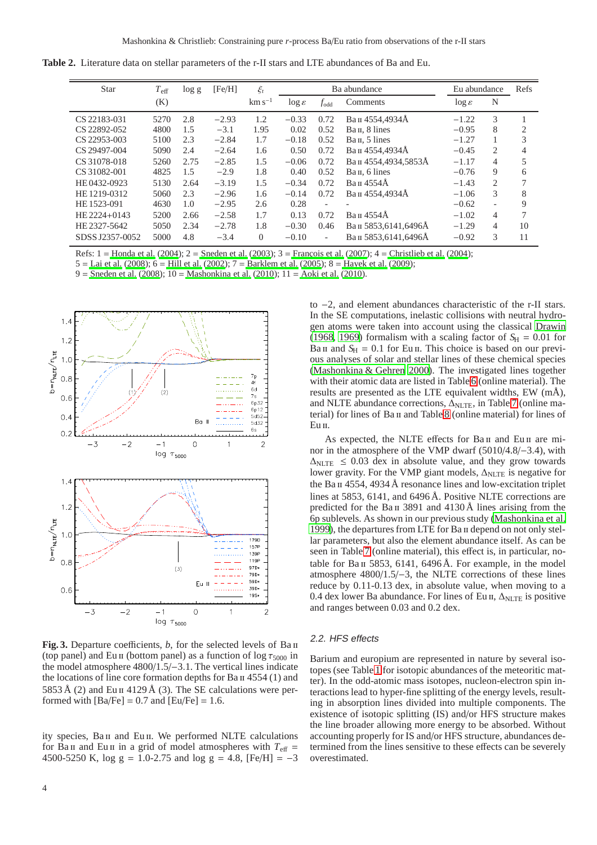**Table 2.** Literature data on stellar parameters of the r-II stars and LTE abundances of Ba and Eu.

<span id="page-3-0"></span>

| Star            | $T_{\rm eff}$ | $\log g$ | [Fe/H]  | $\xi_t$     |                    |           | Ba abundance               | Eu abundance       | Refs                     |                |
|-----------------|---------------|----------|---------|-------------|--------------------|-----------|----------------------------|--------------------|--------------------------|----------------|
|                 | (K)           |          |         | $km s^{-1}$ | $\log \varepsilon$ | $f_{odd}$ | Comments                   | $\log \varepsilon$ | N                        |                |
| CS 22183-031    | 5270          | 2.8      | $-2.93$ | 1.2         | $-0.33$            | 0.72      | Ван 4554,4934Å             | $-1.22$            | 3                        |                |
| CS 22892-052    | 4800          | 1.5      | $-3.1$  | 1.95        | 0.02               | 0.52      | Ba <sub>II</sub> . 8 lines | $-0.95$            | 8                        | $\overline{2}$ |
| CS 22953-003    | 5100          | 2.3      | $-2.84$ | 1.7         | $-0.18$            | 0.52      | Ba <sub>II</sub> . 5 lines | $-1.27$            |                          | 3              |
| CS 29497-004    | 5090          | 2.4      | $-2.64$ | 1.6         | 0.50               | 0.72      | Ван 4554,4934Å             | $-0.45$            | 2                        | 4              |
| CS 31078-018    | 5260          | 2.75     | $-2.85$ | 1.5         | $-0.06$            | 0.72      | Ван 4554,4934,5853А        | $-1.17$            | 4                        | 5              |
| CS 31082-001    | 4825          | 1.5      | $-2.9$  | 1.8         | 0.40               | 0.52      | Ван, 6 lines               | $-0.76$            | 9                        | 6              |
| HE 0432-0923    | 5130          | 2.64     | $-3.19$ | 1.5         | $-0.34$            | 0.72      | Ван 4554Å                  | $-1.43$            | $\overline{c}$           | 7              |
| HE 1219-0312    | 5060          | 2.3      | $-2.96$ | 1.6         | $-0.14$            | 0.72      | Ван 4554,4934Å             | $-1.06$            | 3                        | 8              |
| HE 1523-091     | 4630          | 1.0      | $-2.95$ | 2.6         | 0.28               |           |                            | $-0.62$            | $\overline{\phantom{0}}$ | 9              |
| HE 2224+0143    | 5200          | 2.66     | $-2.58$ | 1.7         | 0.13               | 0.72      | Ван 4554Å                  | $-1.02$            | $\overline{4}$           | 7              |
| HE 2327-5642    | 5050          | 2.34     | $-2.78$ | 1.8         | $-0.30$            | 0.46      | Ван 5853,6141,6496А        | $-1.29$            | 4                        | 10             |
| SDSS J2357-0052 | 5000          | 4.8      | $-3.4$  | $\Omega$    | $-0.10$            | ٠         | Ван 5853.6141.6496А        | $-0.92$            | 3                        | 11             |

Refs:  $1 =$  [Honda et al. \(2004\)](#page-7-7);  $2 =$  [Sneden et al.](#page-7-18) [\(2003](#page-7-18));  $3 =$  François et al. [\(2007](#page-6-3));  $4 =$  [Christlieb et al. \(2004](#page-6-8));

5 = [Lai et al. \(2008\)](#page-7-10); 6 = [Hill et al. \(2002\)](#page-7-17); 7 = [Barklem et al. \(2005](#page-6-10)); 8 = [Hayek et al.](#page-7-11) [\(2009](#page-7-11));

9 = [Sneden et al. \(2008](#page-7-2)); 10 = [Mashonkina et al. \(2010](#page-7-28)); 11 = [Aoki et al. \(2010\)](#page-6-13).



<span id="page-3-1"></span>**Fig. 3.** Departure coefficients, *b*, for the selected levels of Ba ii (top panel) and Eu II (bottom panel) as a function of  $\log \tau_{5000}$  in the model atmosphere 4800/1.5/−3.1. The vertical lines indicate the locations of line core formation depths for  $Ba \Pi$  4554 (1) and 5853 Å (2) and Eu II 4129 Å (3). The SE calculations were performed with  $[Ba/Fe] = 0.7$  and  $[Eu/Fe] = 1.6$ .

ity species, Ba II and Eu II. We performed NLTE calculations for Ba<sub>II</sub> and Eu<sub>II</sub> in a grid of model atmospheres with  $T_{\text{eff}}$  = 4500-5250 K, log g = 1.0-2.75 and log g = 4.8,  $[Fe/H] = -3$  to −2, and element abundances characteristic of the r-II stars. In the SE computations, inelastic collisions with neutral hydrogen atoms were taken into account using the classical [Drawin](#page-6-14) [\(1968](#page-6-14), [1969\)](#page-6-15) formalism with a scaling factor of  $S_H = 0.01$  for Ba II and  $S_H = 0.1$  for Eu II. This choice is based on our previous analyses of solar and stellar lines of these chemical species [\(Mashonkina & Gehren 2000\)](#page-7-22). The investigated lines together with their atomic data are listed in Table [6](#page-8-0) (online material). The results are presented as the LTE equivalent widths, EW (mÅ), and NLTE abundance corrections, Δ<sub>NLTE</sub>, in Table [7](#page-9-0) (online ma-terial) for lines of Ba II and Table [8](#page-11-0) (online material) for lines of Eu II.

As expected, the NLTE effects for Ba<sub>II</sub> and Eu<sub>II</sub> are minor in the atmosphere of the VMP dwarf (5010/4.8/−3.4), with  $\Delta_{\text{NLTE}} \leq 0.03$  dex in absolute value, and they grow towards lower gravity. For the VMP giant models,  $\Delta_{NLTE}$  is negative for the Ba  $\pi$  4554, 4934 Å resonance lines and low-excitation triplet lines at 5853, 6141, and 6496 Å. Positive NLTE corrections are predicted for the Ba<sub>II</sub> 3891 and  $4130 \text{\AA}$  lines arising from the 6p sublevels. As shown in our previous study [\(Mashonkina et al.](#page-7-21) [1999\)](#page-7-21), the departures from LTE for Ba ii depend on not only stellar parameters, but also the element abundance itself. As can be seen in Table [7](#page-9-0) (online material), this effect is, in particular, notable for  $Ba \text{II}$  5853, 6141, 6496 Å. For example, in the model atmosphere 4800/1.5/−3, the NLTE corrections of these lines reduce by 0.11-0.13 dex, in absolute value, when moving to a 0.4 dex lower Ba abundance. For lines of Eu II,  $\Delta_{\text{NLTE}}$  is positive and ranges between 0.03 and 0.2 dex.

#### 2.2. HFS effects

Barium and europium are represented in nature by several isotopes (see Table [1](#page-2-0) for isotopic abundances of the meteoritic matter). In the odd-atomic mass isotopes, nucleon-electron spin interactions lead to hyper-fine splitting of the energy levels, resulting in absorption lines divided into multiple components. The existence of isotopic splitting (IS) and/or HFS structure makes the line broader allowing more energy to be absorbed. Without accounting properly for IS and/or HFS structure, abundances determined from the lines sensitive to these effects can be severely overestimated.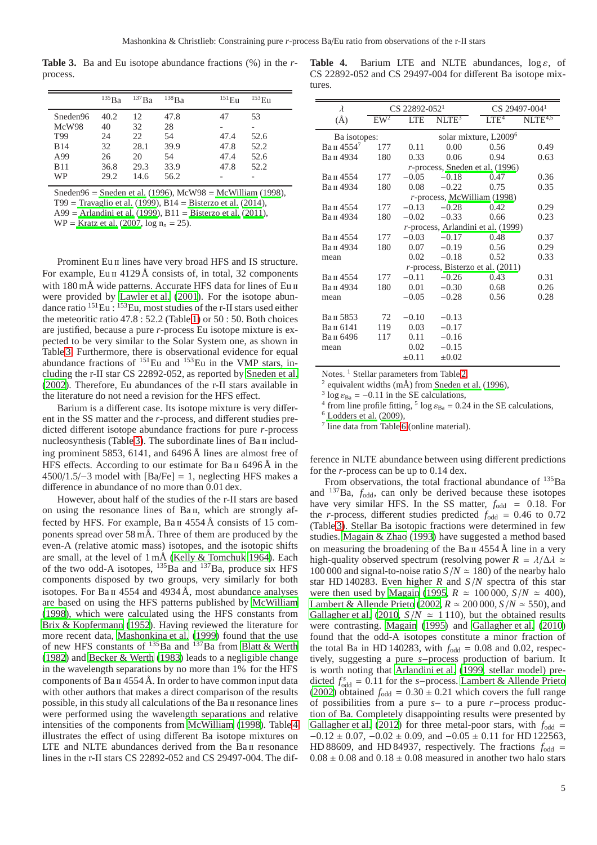**Table 3.** Ba and Eu isotope abundance fractions (%) in the *r*process.

<span id="page-4-0"></span>

|            | $^{135}Ba$ | $^{137}Ba$ | 138Ba | $151$ Eu | $^{153}$ Eu |
|------------|------------|------------|-------|----------|-------------|
| Sneden96   | 40.2       | 12         | 47.8  | 47       | 53          |
| McW98      | 40         | 32         | 28    |          |             |
| T99        | 24         | 22         | 54    | 47.4     | 52.6        |
| <b>B14</b> | 32         | 28.1       | 39.9  | 47.8     | 52.2        |
| A99        | 26         | 20         | 54    | 47.4     | 52.6        |
| <b>B11</b> | 36.8       | 29.3       | 33.9  | 47.8     | 52.2        |
| <b>WP</b>  | 29.2       | 14.6       | 56.2  |          | -           |

Sneden96 = [Sneden et al. \(1996\)](#page-7-16), McW98 = [McWilliam \(1998\)](#page-7-29), T99 = [Travaglio et al.](#page-7-4) [\(1999](#page-7-4)), B14 = [Bisterzo et al. \(2014\)](#page-6-6),

A99 = [Arlandini et al. \(1999\)](#page-6-4), B11 = [Bisterzo et al. \(2011](#page-6-5)),

 $WP =$  [Kratz et al. \(2007](#page-7-5),  $log n_n = 25$ ).

Prominent Eu II lines have very broad HFS and IS structure. For example, Eu  $\pi$  4129 Å consists of, in total, 32 components with 180 mÅ wide patterns. Accurate HFS data for lines of Eu II were provided by [Lawler et al. \(2001\)](#page-7-30). For the isotope abundance ratio <sup>151</sup>Eu : <sup>153</sup>Eu, most studies of the r-II stars used either the meteoritic ratio 47.8 : 52.2 (Table [1\)](#page-2-0) or 50 : 50. Both choices are justified, because a pure *r*-process Eu isotope mixture is expected to be very similar to the Solar System one, as shown in Table [3.](#page-4-0) Furthermore, there is observational evidence for equal abundance fractions of  $^{151}$ Eu and  $^{153}$ Eu in the VMP stars, including the r-II star CS 22892-052, as reported by [Sneden et al.](#page-7-31) [\(2002\)](#page-7-31). Therefore, Eu abundances of the r-II stars available in the literature do not need a revision for the HFS effect.

Barium is a different case. Its isotope mixture is very different in the SS matter and the *r*-process, and different studies predicted different isotope abundance fractions for pure *r*-process nucleosynthesis (Table [3\)](#page-4-0). The subordinate lines of  $Ba \pi$  including prominent 5853, 6141, and 6496 Å lines are almost free of HFS effects. According to our estimate for Ba  $\text{II}$  6496 Å in the 4500/1.5/−3 model with [Ba/Fe] = 1, neglecting HFS makes a difference in abundance of no more than 0.01 dex.

However, about half of the studies of the r-II stars are based on using the resonance lines of Ba<sub>II</sub>, which are strongly affected by HFS. For example, Ba II 4554 Å consists of 15 components spread over 58 mÅ. Three of them are produced by the even-A (relative atomic mass) isotopes, and the isotopic shifts are small, at the level of 1 mÅ [\(Kelly & Tomchuk 1964\)](#page-7-32). Each of the two odd-A isotopes,  $^{135}$ Ba and  $^{137}$ Ba, produce six HFS components disposed by two groups, very similarly for both isotopes. For  $Ba \text{H}$  4554 and 4934 Å, most abundance analyses are based on using the HFS patterns published by [McWilliam](#page-7-29) [\(1998\)](#page-7-29), which were calculated using the HFS constants from [Brix & Kopfermann \(1952\)](#page-6-16). Having reviewed the literature for more recent data, [Mashonkina et al. \(1999](#page-7-21)) found that the use of new HFS constants of  $^{135}$ Ba and  $^{137}$ Ba from [Blatt & Werth](#page-6-17) [\(1982\)](#page-6-17) and [Becker & Werth \(1983\)](#page-6-18) leads to a negligible change in the wavelength separations by no more than 1% for the HFS components of  $Ba \Pi$  4554 Å. In order to have common input data with other authors that makes a direct comparison of the results possible, in this study all calculations of the Ba II resonance lines were performed using the wavelength separations and relative intensities of the components from [McWilliam \(1998\)](#page-7-29). Table [4](#page-4-1) illustrates the effect of using different Ba isotope mixtures on LTE and NLTE abundances derived from the Ba II resonance lines in the r-II stars CS 22892-052 and CS 29497-004. The dif-

<span id="page-4-1"></span>**Table 4.** Barium LTE and NLTE abundances,  $\log \varepsilon$ , of CS 22892-052 and CS 29497-004 for different Ba isotope mixtures.

| $\lambda$    |                 | CS 22892-052 <sup>1</sup> |                   |                                         | CS 29497-004 <sup>1</sup> |
|--------------|-----------------|---------------------------|-------------------|-----------------------------------------|---------------------------|
| $(\AA)$      | EW <sup>2</sup> | <b>LTE</b>                | NLTE <sup>3</sup> | LTE <sup>4</sup>                        | $NITE^{4,5}$              |
| Ba isotopes: |                 |                           |                   | solar mixture, L2009 <sup>6</sup>       |                           |
| Ван 45547    | 177             | 0.11                      | 0.00              | 0.56                                    | 0.49                      |
| Ван 4934     | 180             | 0.33                      | 0.06              | 0.94                                    | 0.63                      |
|              |                 |                           |                   | <i>r</i> -process, Sneden et al. (1996) |                           |
| Ван 4554     | 177             | $-0.05$                   | $-0.18$           | 0.47                                    | 0.36                      |
| Ван 4934     | 180             | 0.08                      | $-0.22$           | 0.75                                    | 0.35                      |
|              |                 |                           |                   | $r$ -process, McWilliam (1998)          |                           |
| Ван 4554     | 177             | $-0.13$                   | $-0.28$           | 0.42                                    | 0.29                      |
| Ван 4934     | 180             | $-0.02$                   | $-0.33$           | 0.66                                    | 0.23                      |
|              |                 |                           |                   | r-process, Arlandini et al. (1999)      |                           |
| Ван 4554     | 177             | $-0.03$                   | $-0.17$           | 0.48                                    | 0.37                      |
| Ван 4934     | 180             | 0.07                      | $-0.19$           | 0.56                                    | 0.29                      |
| mean         |                 | 0.02                      | $-0.18$           | 0.52                                    | 0.33                      |
|              |                 |                           |                   | $r$ -process, Bisterzo et al. (2011)    |                           |
| Ван 4554     | 177             | $-0.11$                   | $-0.26$           | 0.43                                    | 0.31                      |
| Ван 4934     | 180             | 0.01                      | $-0.30$           | 0.68                                    | 0.26                      |
| mean         |                 | $-0.05$                   | $-0.28$           | 0.56                                    | 0.28                      |
|              |                 |                           |                   |                                         |                           |
| Ван 5853     | 72              | $-0.10$                   | $-0.13$           |                                         |                           |
| Ван 6141     | 119             | 0.03                      | $-0.17$           |                                         |                           |
| Ван 6496     | 117             | 0.11                      | $-0.16$           |                                         |                           |
| mean         |                 | 0.02                      | $-0.15$           |                                         |                           |
|              |                 | $\pm 0.11$                | $\pm 0.02$        |                                         |                           |

Notes.<sup>1</sup> Stellar parameters from Table [2,](#page-3-0)

<sup>2</sup> equivalent widths  $(m\AA)$  from [Sneden et al. \(1996](#page-7-16)),

<sup>3</sup> log  $\varepsilon_{\text{Ba}} = -0.11$  in the SE calculations,

<sup>4</sup> from line profile fitting, <sup>5</sup> log  $\varepsilon_{Ba}$  = 0.24 in the SE calculations,

 $6$  [Lodders et al. \(2009\)](#page-7-14),

7 line data from Table [6](#page-8-0) (online material).

ference in NLTE abundance between using different predictions for the *r*-process can be up to 0.14 dex.

From observations, the total fractional abundance of  $^{135}Ba$ and  $^{137}$ Ba,  $f_{\text{odd}}$ , can only be derived because these isotopes have very similar HFS. In the SS matter,  $f_{\text{odd}} = 0.18$ . For the *r*-process, different studies predicted  $f_{\text{odd}} = 0.46$  to 0.72 (Table [3\)](#page-4-0). Stellar Ba isotopic fractions were determined in few studies. [Magain & Zhao](#page-7-33) [\(1993\)](#page-7-33) have suggested a method based on measuring the broadening of the Ba  $\pi$  4554 Å line in a very high-quality observed spectrum (resolving power  $R = \lambda/\Delta\lambda \approx$ 100 000 and signal-to-noise ratio  $S/N \approx 180$ ) of the nearby halo star HD 140283. Even higher *R* and *S*/*N* spectra of this star were then used by [Magain \(1995,](#page-7-34)  $R \approx 100000$ ,  $S/N \approx 400$ ), [Lambert & Allende Prieto](#page-7-35) [\(2002,](#page-7-35)  $R \approx 200000$ ,  $S/N \approx 550$ ), and [Gallagher et al. \(2010,](#page-7-36)  $S/N \approx 1110$ ), but the obtained results were contrasting. [Magain](#page-7-34) [\(1995\)](#page-7-34) and [Gallagher et al. \(2010\)](#page-7-36) found that the odd-A isotopes constitute a minor fraction of the total Ba in HD 140283, with  $f_{\text{odd}} = 0.08$  and 0.02, respectively, suggesting a pure *s*−process production of barium. It is worth noting that [Arlandini et al. \(1999,](#page-6-4) stellar model) predicted  $f_{\text{odd}}^s = 0.11$  for the *s*−process. [Lambert & Allende Prieto](#page-7-35) [\(2002](#page-7-35)) obtained  $f_{\text{odd}} = 0.30 \pm 0.21$  which covers the full range of possibilities from a pure *s*− to a pure *r*−process production of Ba. Completely disappointing results were presented by [Gallagher et al. \(2012\)](#page-7-37) for three metal-poor stars, with  $f_{\text{odd}} =$  $-0.12 \pm 0.07$ ,  $-0.02 \pm 0.09$ , and  $-0.05 \pm 0.11$  for HD 122563, HD 88609, and HD 84937, respectively. The fractions  $f_{\text{odd}}$  =  $0.08 \pm 0.08$  and  $0.18 \pm 0.08$  measured in another two halo stars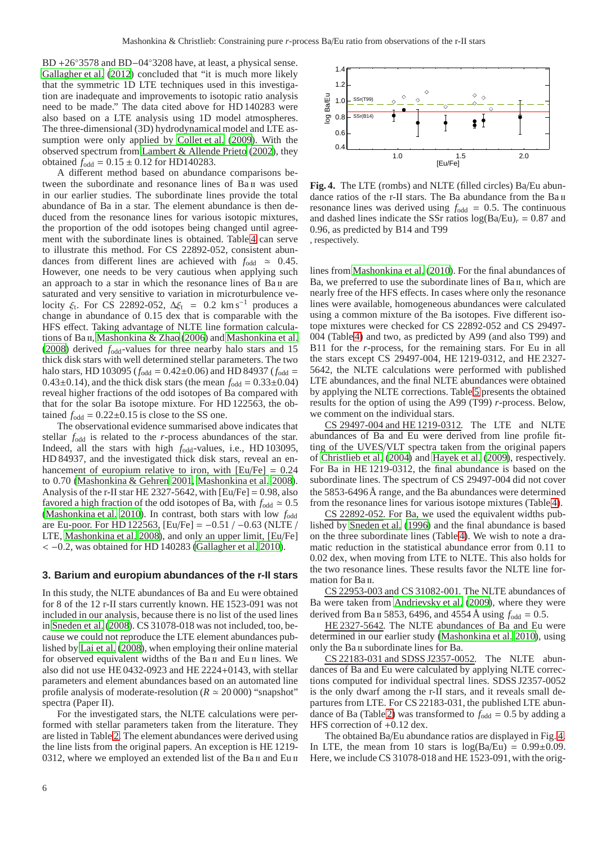BD +26◦3578 and BD−04◦3208 have, at least, a physical sense. [Gallagher et al. \(2012](#page-7-37)) concluded that "it is much more likely that the symmetric 1D LTE techniques used in this investigation are inadequate and improvements to isotopic ratio analysis need to be made." The data cited above for HD 140283 were also based on a LTE analysis using 1D model atmospheres. The three-dimensional (3D) hydrodynamical model and LTE assumption were only applied by [Collet et al. \(2009\)](#page-6-19). With the observed spectrum from [Lambert & Allende Prieto](#page-7-35) [\(2002\)](#page-7-35), they obtained  $f_{\text{odd}} = 0.15 \pm 0.12$  for HD140283.

A different method based on abundance comparisons between the subordinate and resonance lines of Ba II was used in our earlier studies. The subordinate lines provide the total abundance of Ba in a star. The element abundance is then deduced from the resonance lines for various isotopic mixtures. the proportion of the odd isotopes being changed until agreement with the subordinate lines is obtained. Table [4](#page-4-1) can serve to illustrate this method. For CS 22892-052, consistent abundances from different lines are achieved with  $f_{\text{odd}} \approx 0.45$ . However, one needs to be very cautious when applying such an approach to a star in which the resonance lines of Ba II are saturated and very sensitive to variation in microturbulence velocity  $\xi_t$ . For CS 22892-052,  $\Delta \xi_t = 0.2$  km s<sup>-1</sup> produces a change in abundance of 0.15 dex that is comparable with the HFS effect. Taking advantage of NLTE line formation calcula-tions of Ba II, [Mashonkina & Zhao \(2006](#page-7-38)) and [Mashonkina et al.](#page-7-39) [\(2008\)](#page-7-39) derived *f*odd-values for three nearby halo stars and 15 thick disk stars with well determined stellar parameters. The two halo stars, HD 103095 ( $f_{\text{odd}} = 0.42 \pm 0.06$ ) and HD 84937 ( $f_{\text{odd}} =$ 0.43 $\pm$ 0.14), and the thick disk stars (the mean  $f_{\text{odd}} = 0.33 \pm 0.04$ ) reveal higher fractions of the odd isotopes of Ba compared with that for the solar Ba isotope mixture. For HD 122563, the obtained  $f_{\text{odd}} = 0.22 \pm 0.15$  is close to the SS one.

The observational evidence summarised above indicates that stellar  $f_{\text{odd}}$  is related to the *r*-process abundances of the star. Indeed, all the stars with high *f*odd-values, i.e., HD 103095, HD 84937, and the investigated thick disk stars, reveal an enhancement of europium relative to iron, with  $[Eu/Fe] = 0.24$ to 0.70 [\(Mashonkina & Gehren 2001,](#page-7-40) [Mashonkina et al. 2008](#page-7-39)). Analysis of the r-II star HE 2327-5642, with  $[Eu/Fe] = 0.98$ , also favored a high fraction of the odd isotopes of Ba, with  $f_{\text{odd}} \approx 0.5$ [\(Mashonkina et al. 2010](#page-7-28)). In contrast, both stars with low  $f_{\text{odd}}$ are Eu-poor. For HD 122563, [Eu/Fe] =  $-0.51$  /  $-0.63$  (NLTE / LTE, [Mashonkina et al. 2008\)](#page-7-39), and only an upper limit, [Eu/Fe] < −0.2, was obtained for HD 140283 [\(Gallagher et al. 2010](#page-7-36)).

#### <span id="page-5-0"></span>**3. Barium and europium abundances of the r-II stars**

In this study, the NLTE abundances of Ba and Eu were obtained for 8 of the 12 r-II stars currently known. HE 1523-091 was not included in our analysis, because there is no list of the used lines in [Sneden et al.](#page-7-2) [\(2008\)](#page-7-2). CS 31078-018 was not included, too, because we could not reproduce the LTE element abundances published by [Lai et al.](#page-7-10) [\(2008\)](#page-7-10), when employing their online material for observed equivalent widths of the Ba<sub>II</sub> and Eu<sub>II</sub> lines. We also did not use HE 0432-0923 and HE 2224+0143, with stellar parameters and element abundances based on an automated line profile analysis of moderate-resolution ( $R \approx 20000$ ) "snapshot" spectra (Paper II).

For the investigated stars, the NLTE calculations were performed with stellar parameters taken from the literature. They are listed in Table [2.](#page-3-0) The element abundances were derived using the line lists from the original papers. An exception is HE 1219- 0312, where we employed an extended list of the Ba II and Eu II



<span id="page-5-1"></span>**Fig. 4.** The LTE (rombs) and NLTE (filled circles) Ba/Eu abundance ratios of the r-II stars. The Ba abundance from the Ba II resonance lines was derived using  $f_{\text{odd}} = 0.5$ . The continuous and dashed lines indicate the SSr ratios  $log(Ba/Eu)<sub>r</sub> = 0.87$  and 0.96, as predicted by B14 and T99 , respectively.

lines from [Mashonkina et al. \(2010\)](#page-7-28). For the final abundances of Ba, we preferred to use the subordinate lines of Ba II, which are nearly free of the HFS effects. In cases where only the resonance lines were available, homogeneous abundances were calculated using a common mixture of the Ba isotopes. Five different isotope mixtures were checked for CS 22892-052 and CS 29497- 004 (Table [4\)](#page-4-1) and two, as predicted by A99 (and also T99) and B11 for the *r*-process, for the remaining stars. For Eu in all the stars except CS 29497-004, HE 1219-0312, and HE 2327- 5642, the NLTE calculations were performed with published LTE abundances, and the final NLTE abundances were obtained by applying the NLTE corrections. Table [5](#page-6-20) presents the obtained results for the option of using the A99 (T99) *r*-process. Below, we comment on the individual stars.

CS 29497-004 and HE 1219-0312. The LTE and NLTE abundances of Ba and Eu were derived from line profile fitting of the UVES/VLT spectra taken from the original papers of [Christlieb et al.](#page-6-8) [\(2004\)](#page-6-8) and [Hayek et al. \(2009\)](#page-7-11), respectively. For Ba in HE 1219-0312, the final abundance is based on the subordinate lines. The spectrum of CS 29497-004 did not cover the 5853-6496 Å range, and the Ba abundances were determined from the resonance lines for various isotope mixtures (Table [4\)](#page-4-1).

CS 22892-052. For Ba, we used the equivalent widths published by [Sneden et al. \(1996](#page-7-16)) and the final abundance is based on the three subordinate lines (Table [4\)](#page-4-1). We wish to note a dramatic reduction in the statistical abundance error from 0.11 to 0.02 dex, when moving from LTE to NLTE. This also holds for the two resonance lines. These results favor the NLTE line formation for Ba<sub>II</sub>.

CS 22953-003 and CS 31082-001. The NLTE abundances of Ba were taken from [Andrievsky et al.](#page-6-21) [\(2009\)](#page-6-21), where they were derived from Ba  $\pi$  5853, 6496, and 4554 Å using  $f_{\text{odd}} = 0.5$ .

HE 2327-5642. The NLTE abundances of Ba and Eu were determined in our earlier study [\(Mashonkina et al. 2010\)](#page-7-28), using only the Ba<sub>II</sub> subordinate lines for Ba.

CS 22183-031 and SDSS J2357-0052. The NLTE abundances of Ba and Eu were calculated by applying NLTE corrections computed for individual spectral lines. SDSS J2357-0052 is the only dwarf among the r-II stars, and it reveals small departures from LTE. For CS 22183-031, the published LTE abun-dance of Ba (Table [2\)](#page-3-0) was transformed to  $f_{\text{odd}} = 0.5$  by adding a HFS correction of +0.12 dex.

The obtained Ba/Eu abundance ratios are displayed in Fig. [4.](#page-5-1) In LTE, the mean from 10 stars is  $log(Ba/Eu) = 0.99 \pm 0.09$ . Here, we include CS 31078-018 and HE 1523-091, with the orig-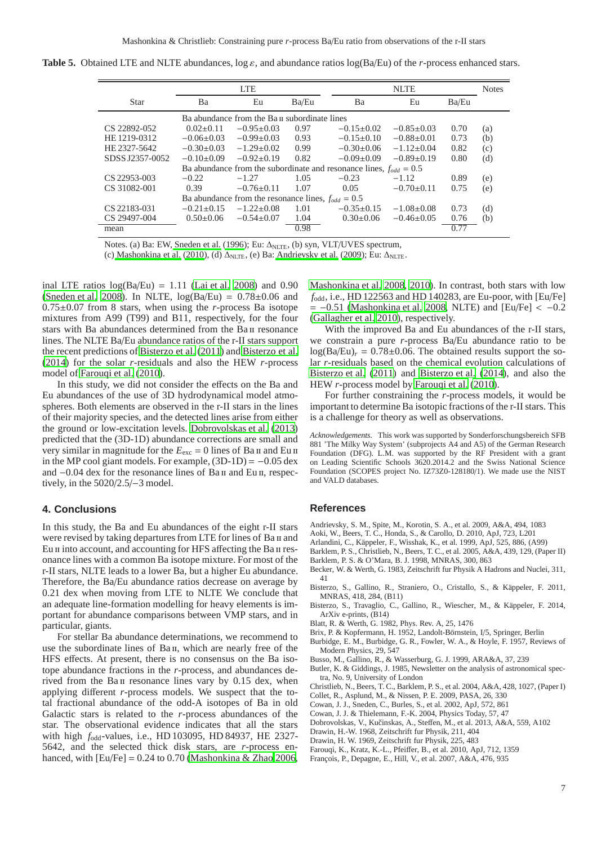|  |  |  |  | <b>Table 5.</b> Obtained LTE and NLTE abundances, $\log \varepsilon$ , and abundance ratios $\log(Ba/Eu)$ of the <i>r</i> -process enhanced stars. |
|--|--|--|--|----------------------------------------------------------------------------------------------------------------------------------------------------|
|--|--|--|--|----------------------------------------------------------------------------------------------------------------------------------------------------|

<span id="page-6-20"></span>

|                 |                  | <b>LTE</b>                                             |       |                                                                        | <b>Notes</b>     |       |     |
|-----------------|------------------|--------------------------------------------------------|-------|------------------------------------------------------------------------|------------------|-------|-----|
| <b>Star</b>     | Ba               | Eu                                                     | Ba/Eu | Ba                                                                     | Eu               | Ba/Eu |     |
|                 |                  | Ba abundance from the Ba II subordinate lines          |       |                                                                        |                  |       |     |
| CS 22892-052    | $0.02 \pm 0.11$  | $-0.95\pm0.03$                                         | 0.97  | $-0.15\pm0.02$                                                         | $-0.85\pm0.03$   | 0.70  | (a) |
| HE 1219-0312    | $-0.06\pm0.03$   | $-0.99\pm0.03$                                         | 0.93  | $-0.15\pm0.10$                                                         | $-0.88\pm0.01$   | 0.73  | (b) |
| HE 2327-5642    | $-0.30\pm0.03$   | $-1.29 \pm 0.02$                                       | 0.99  | $-0.30\pm0.06$                                                         | $-1.12\pm0.04$   | 0.82  | (c) |
| SDSS J2357-0052 | $-0.10\pm0.09$   | $-0.92\pm0.19$                                         | 0.82  | $-0.09\pm0.09$                                                         | $-0.89\pm0.19$   | 0.80  | (d) |
|                 |                  |                                                        |       | Ba abundance from the subordinate and resonance lines, $f_{odd} = 0.5$ |                  |       |     |
| CS 22953-003    | $-0.22$          | $-1.27$                                                | 1.05  | $-0.23$                                                                | $-1.12$          | 0.89  | (e) |
| CS 31082-001    | 0.39             | $-0.76\pm0.11$                                         | 1.07  | 0.05                                                                   | $-0.70\pm0.11$   | 0.75  | (e) |
|                 |                  | Ba abundance from the resonance lines, $f_{odd} = 0.5$ |       |                                                                        |                  |       |     |
| CS 22183-031    | $-0.21 \pm 0.15$ | $-1.22 \pm 0.08$                                       | 1.01  | $-0.35\pm0.15$                                                         | $-1.08 \pm 0.08$ | 0.73  | (d) |
| CS 29497-004    | $0.50\pm0.06$    | $-0.54\pm0.07$                                         | 1.04  | $0.30\pm0.06$                                                          | $-0.46 \pm 0.05$ | 0.76  | (b) |
| mean            |                  |                                                        | 0.98  |                                                                        |                  | 0.77  |     |

Notes. (a) Ba: EW, [Sneden et al. \(1996](#page-7-16)); Eu:  $\Delta_{\text{NITE}}$ , (b) syn, VLT/UVES spectrum,

(c) [Mashonkina et al.](#page-7-28) [\(2010](#page-7-28)), (d)  $\Delta_{NLTE}$ , (e) Ba: [Andrievsky et al. \(2009](#page-6-21)); Eu:  $\Delta_{NLTE}$ .

inal LTE ratios  $log(Ba/Eu) = 1.11$  [\(Lai et al. 2008](#page-7-10)) and 0.90 [\(Sneden et al. 2008\)](#page-7-2). In NLTE,  $log(Ba/Eu) = 0.78 \pm 0.06$  and 0.75±0.07 from 8 stars, when using the *r*-process Ba isotope mixtures from A99 (T99) and B11, respectively, for the four stars with Ba abundances determined from the Ba II resonance lines. The NLTE Ba/Eu abundance ratios of the r-II stars support the recent predictions of [Bisterzo et al. \(2011\)](#page-6-5) and [Bisterzo et al.](#page-6-6) [\(2014\)](#page-6-6) for the solar *r*-residuals and also the HEW *r*-process model of [Farouqi et al.](#page-6-7) [\(2010\)](#page-6-7).

In this study, we did not consider the effects on the Ba and Eu abundances of the use of 3D hydrodynamical model atmospheres. Both elements are observed in the r-II stars in the lines of their majority species, and the detected lines arise from either the ground or low-excitation levels. [Dobrovolskas et al.](#page-6-22) [\(2013\)](#page-6-22) predicted that the (3D-1D) abundance corrections are small and very similar in magnitude for the  $E_{\text{exc}} = 0$  lines of Ba  $\pi$  and Eu  $\pi$ in the MP cool giant models. For example,  $(3D-1D) = -0.05$  dex and −0.04 dex for the resonance lines of Ва и and Еu и, respectively, in the 5020/2.5/−3 model.

#### <span id="page-6-11"></span>**4. Conclusions**

In this study, the Ba and Eu abundances of the eight r-II stars were revised by taking departures from LTE for lines of Ba II and Eu II into account, and accounting for HFS affecting the Ba II resonance lines with a common Ba isotope mixture. For most of the r-II stars, NLTE leads to a lower Ba, but a higher Eu abundance. Therefore, the Ba/Eu abundance ratios decrease on average by 0.21 dex when moving from LTE to NLTE We conclude that an adequate line-formation modelling for heavy elements is important for abundance comparisons between VMP stars, and in particular, giants.

For stellar Ba abundance determinations, we recommend to use the subordinate lines of Ba<sub>II</sub>, which are nearly free of the HFS effects. At present, there is no consensus on the Ba isotope abundance fractions in the *r*-process, and abundances derived from the Ba<sub>II</sub> resonance lines vary by 0.15 dex, when applying different *r*-process models. We suspect that the total fractional abundance of the odd-A isotopes of Ba in old Galactic stars is related to the *r*-process abundances of the star. The observational evidence indicates that all the stars with high *f*odd-values, i.e., HD 103095, HD 84937, HE 2327- 5642, and the selected thick disk stars, are *r*-process enhanced, with  $[Eu/Fe] = 0.24$  to 0.70 [\(Mashonkina & Zhao 2006,](#page-7-38) [Mashonkina et al. 2008,](#page-7-39) [2010\)](#page-7-28). In contrast, both stars with low *f*odd, i.e., HD 122563 and HD 140283, are Eu-poor, with [Eu/Fe]  $= -0.51$  [\(Mashonkina et al. 2008](#page-7-39), NLTE) and [Eu/Fe] < -0.2 [\(Gallagher et al. 2010\)](#page-7-36), respectively.

With the improved Ba and Eu abundances of the r-II stars, we constrain a pure *r*-process Ba/Eu abundance ratio to be  $log(Ba/Eu)<sub>r</sub> = 0.78\pm0.06$ . The obtained results support the solar *r*-residuals based on the chemical evolution calculations of [Bisterzo et al. \(2011\)](#page-6-5) and [Bisterzo et al.](#page-6-6) [\(2014\)](#page-6-6), and also the HEW *r*-process model by [Farouqi et al. \(2010](#page-6-7)).

For further constraining the *r*-process models, it would be important to determine Ba isotopic fractions of the r-II stars. This is a challenge for theory as well as observations.

*Acknowledgements.* This work was supported by Sonderforschungsbereich SFB 881 'The Milky Way System' (subprojects A4 and A5) of the German Research Foundation (DFG). L.M. was supported by the RF President with a grant on Leading Scientific Schools 3620.2014.2 and the Swiss National Science Foundation (SCOPES project No. IZ73Z0-128180/1). We made use the NIST and VALD databases.

#### **References**

<span id="page-6-21"></span>Andrievsky, S. M., Spite, M., Korotin, S. A., et al. 2009, A&A, 494, 1083

- <span id="page-6-13"></span>Aoki, W., Beers, T. C., Honda, S., & Carollo, D. 2010, ApJ, 723, L201
- <span id="page-6-4"></span>Arlandini, C., K¨appeler, F., Wisshak, K., et al. 1999, ApJ, 525, 886, (A99)
- <span id="page-6-10"></span>Barklem, P. S., Christlieb, N., Beers, T. C., et al. 2005, A&A, 439, 129, (Paper II) Barklem, P. S. & O'Mara, B. J. 1998, MNRAS, 300, 863
- <span id="page-6-23"></span><span id="page-6-18"></span>Becker, W. & Werth, G. 1983, Zeitschrift fur Physik A Hadrons and Nuclei, 311, 41
- <span id="page-6-5"></span>Bisterzo, S., Gallino, R., Straniero, O., Cristallo, S., & Käppeler, F. 2011, MNRAS, 418, 284, (B11)
- <span id="page-6-6"></span>Bisterzo, S., Travaglio, C., Gallino, R., Wiescher, M., & Käppeler, F. 2014, ArXiv e-prints, (B14)
- <span id="page-6-17"></span>Blatt, R. & Werth, G. 1982, Phys. Rev. A, 25, 1476
- <span id="page-6-16"></span>Brix, P. & Kopfermann, H. 1952, Landolt-Börnstein, I/5, Springer, Berlin
- <span id="page-6-0"></span>Burbidge, E. M., Burbidge, G. R., Fowler, W. A., & Hoyle, F. 1957, Reviews of Modern Physics, 29, 547
- <span id="page-6-1"></span>Busso, M., Gallino, R., & Wasserburg, G. J. 1999, ARA&A, 37, 239
- <span id="page-6-12"></span>Butler, K. & Giddings, J. 1985, Newsletter on the analysis of astronomical spectra, No. 9, University of London

Christlieb, N., Beers, T. C., Barklem, P. S., et al. 2004, A&A, 428, 1027, (Paper I)

- <span id="page-6-19"></span><span id="page-6-8"></span>Collet, R., Asplund, M., & Nissen, P. E. 2009, PASA, 26, 330
- <span id="page-6-9"></span>Cowan, J. J., Sneden, C., Burles, S., et al. 2002, ApJ, 572, 861
- <span id="page-6-2"></span>Cowan, J. J. & Thielemann, F.-K. 2004, Physics Today, 57, 47
- <span id="page-6-22"></span>Dobrovolskas, V., Kučinskas, A., Steffen, M., et al. 2013, A&A, 559, A102
- <span id="page-6-14"></span>Drawin, H.-W. 1968, Zeitschrift fur Physik, 211, 404 Drawin, H. W. 1969, Zeitschrift fur Physik, 225, 483
- 
- <span id="page-6-15"></span><span id="page-6-7"></span>Farouqi, K., Kratz, K.-L., Pfeiffer, B., et al. 2010, ApJ, 712, 1359
- <span id="page-6-3"></span>François, P., Depagne, E., Hill, V., et al. 2007, A&A, 476, 935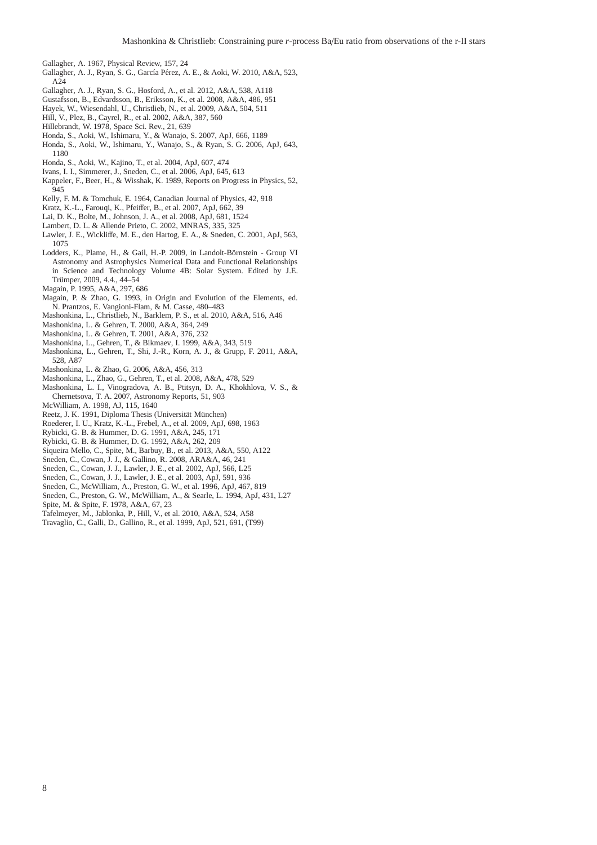- <span id="page-7-41"></span>Gallagher, A. 1967, Physical Review, 157, 24
- <span id="page-7-36"></span>Gallagher, A. J., Ryan, S. G., García Pérez, A. E., & Aoki, W. 2010, A&A, 523,  $A24$
- <span id="page-7-37"></span>Gallagher, A. J., Ryan, S. G., Hosford, A., et al. 2012, A&A, 538, A118
- <span id="page-7-27"></span>Gustafsson, B., Edvardsson, B., Eriksson, K., et al. 2008, A&A, 486, 951
- <span id="page-7-11"></span>Hayek, W., Wiesendahl, U., Christlieb, N., et al. 2009, A&A, 504, 511
- <span id="page-7-17"></span>Hill, V., Plez, B., Cayrel, R., et al. 2002, A&A, 387, 560
- <span id="page-7-1"></span>Hillebrandt, W. 1978, Space Sci. Rev., 21, 639
- <span id="page-7-13"></span>Honda, S., Aoki, W., Ishimaru, Y., & Wanajo, S. 2007, ApJ, 666, 1189
- <span id="page-7-12"></span>Honda, S., Aoki, W., Ishimaru, Y., Wanajo, S., & Ryan, S. G. 2006, ApJ, 643, 1180
- <span id="page-7-7"></span>Honda, S., Aoki, W., Kajino, T., et al. 2004, ApJ, 607, 474
- <span id="page-7-8"></span>Ivans, I. I., Simmerer, J., Sneden, C., et al. 2006, ApJ, 645, 613
- <span id="page-7-0"></span>Kappeler, F., Beer, H., & Wisshak, K. 1989, Reports on Progress in Physics, 52, 945
- <span id="page-7-32"></span>Kelly, F. M. & Tomchuk, E. 1964, Canadian Journal of Physics, 42, 918
- <span id="page-7-5"></span>Kratz, K.-L., Farouqi, K., Pfeiffer, B., et al. 2007, ApJ, 662, 39
- <span id="page-7-10"></span>Lai, D. K., Bolte, M., Johnson, J. A., et al. 2008, ApJ, 681, 1524
- <span id="page-7-35"></span>Lambert, D. L. & Allende Prieto, C. 2002, MNRAS, 335, 325
- <span id="page-7-30"></span>Lawler, J. E., Wickliffe, M. E., den Hartog, E. A., & Sneden, C. 2001, ApJ, 563, 1075
- <span id="page-7-14"></span>Lodders, K., Plame, H., & Gail, H.-P. 2009, in Landolt-Börnstein - Group VI Astronomy and Astrophysics Numerical Data and Functional Relationships in Science and Technology Volume 4B: Solar System. Edited by J.E. Trümper, 2009, 4.4., 44–54
- <span id="page-7-34"></span>Magain, P. 1995, A&A, 297, 686
- <span id="page-7-33"></span>Magain, P. & Zhao, G. 1993, in Origin and Evolution of the Elements, ed. N. Prantzos, E. Vangioni-Flam, & M. Casse, 480–483
- <span id="page-7-28"></span>Mashonkina, L., Christlieb, N., Barklem, P. S., et al. 2010, A&A, 516, A46
- <span id="page-7-22"></span>Mashonkina, L. & Gehren, T. 2000, A&A, 364, 249
- <span id="page-7-40"></span>Mashonkina, L. & Gehren, T. 2001, A&A, 376, 232
- <span id="page-7-21"></span>Mashonkina, L., Gehren, T., & Bikmaev, I. 1999, A&A, 343, 519
- <span id="page-7-25"></span>Mashonkina, L., Gehren, T., Shi, J.-R., Korn, A. J., & Grupp, F. 2011, A&A, 528, A87
- <span id="page-7-38"></span>Mashonkina, L. & Zhao, G. 2006, A&A, 456, 313
- <span id="page-7-39"></span>Mashonkina, L., Zhao, G., Gehren, T., et al. 2008, A&A, 478, 529
- <span id="page-7-9"></span>Mashonkina, L. I., Vinogradova, A. B., Ptitsyn, D. A., Khokhlova, V. S., & Chernetsova, T. A. 2007, Astronomy Reports, 51, 903
- <span id="page-7-29"></span>McWilliam, A. 1998, AJ, 115, 1640
- <span id="page-7-26"></span>Reetz, J. K. 1991, Diploma Thesis (Universität München)
- <span id="page-7-20"></span>Roederer, I. U., Kratz, K.-L., Frebel, A., et al. 2009, ApJ, 698, 1963
- <span id="page-7-23"></span>Rybicki, G. B. & Hummer, D. G. 1991, A&A, 245, 171
- <span id="page-7-24"></span>Rybicki, G. B. & Hummer, D. G. 1992, A&A, 262, 209
- <span id="page-7-19"></span>Siqueira Mello, C., Spite, M., Barbuy, B., et al. 2013, A&A, 550, A122
- <span id="page-7-2"></span>Sneden, C., Cowan, J. J., & Gallino, R. 2008, ARA&A, 46, 241
- <span id="page-7-31"></span>Sneden, C., Cowan, J. J., Lawler, J. E., et al. 2002, ApJ, 566, L25
- <span id="page-7-18"></span>Sneden, C., Cowan, J. J., Lawler, J. E., et al. 2003, ApJ, 591, 936
- <span id="page-7-16"></span>Sneden, C., McWilliam, A., Preston, G. W., et al. 1996, ApJ, 467, 819
- <span id="page-7-15"></span>Sneden, C., Preston, G. W., McWilliam, A., & Searle, L. 1994, ApJ, 431, L27
- <span id="page-7-6"></span>Spite, M. & Spite, F. 1978, A&A, 67, 23
- <span id="page-7-3"></span>Tafelmeyer, M., Jablonka, P., Hill, V., et al. 2010, A&A, 524, A58
- <span id="page-7-4"></span>Travaglio, C., Galli, D., Gallino, R., et al. 1999, ApJ, 521, 691, (T99)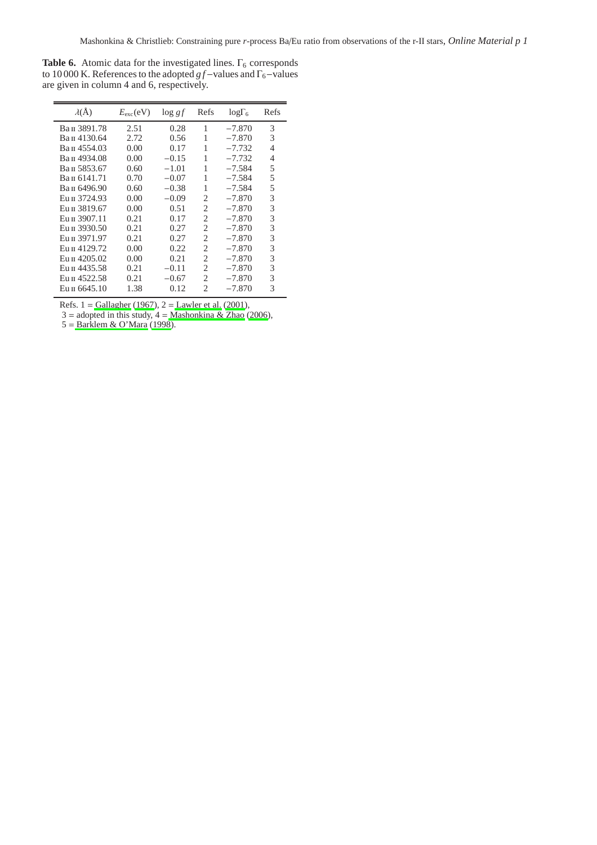<span id="page-8-0"></span>**Table 6.** Atomic data for the investigated lines.  $\Gamma_6$  corresponds to 10 000 K. References to the adopted *g f*−values and Γ<sub>6</sub>−values are given in column 4 and 6, respectively.

| $\lambda(\AA)$ | $E_{\rm exc}$ (eV) | $\log gf$ | Refs | $log\Gamma_6$ | Refs |
|----------------|--------------------|-----------|------|---------------|------|
| Вап 3891.78    | 2.51               | 0.28      | 1    | $-7.870$      | 3    |
| Ван 4130.64    | 2.72               | 0.56      |      | $-7.870$      | 3    |
| Ван 4554.03    | 0.00               | 0.17      | 1    | $-7.732$      | 4    |
| Ван 4934.08    | 0.00               | $-0.15$   | 1    | $-7.732$      | 4    |
| Ван 5853.67    | 0.60               | $-1.01$   | 1    | $-7.584$      | 5    |
| Ван 6141.71    | 0.70               | $-0.07$   | 1    | $-7.584$      | 5    |
| Вап 6496.90    | 0.60               | $-0.38$   | 1    | $-7.584$      | 5    |
| Eu II 3724.93  | 0.00               | $-0.09$   | 2    | $-7.870$      | 3    |
| Eu II 3819.67  | 0.00               | 0.51      | 2    | $-7.870$      | 3    |
| Eu II 3907.11  | 0.21               | 0.17      | 2    | $-7.870$      | 3    |
| Eu II 3930.50  | 0.21               | 0.27      | 2    | $-7.870$      | 3    |
| Eu II 3971.97  | 0.21               | 0.27      | 2    | $-7.870$      | 3    |
| Eu II 4129.72  | 0.00               | 0.22      | 2    | $-7.870$      | 3    |
| Eu II 4205.02  | 0.00               | 0.21      | 2    | $-7.870$      | 3    |
| Eu II 4435.58  | 0.21               | $-0.11$   | 2    | $-7.870$      | 3    |
| Eu II 4522.58  | 0.21               | $-0.67$   | 2    | $-7.870$      | 3    |
| Eu II 6645.10  | 1.38               | 0.12      | 2    | $-7.870$      | 3    |
|                |                    |           |      |               |      |

Refs. 1 = [Gallagher](#page-7-41) [\(1967](#page-7-41)), 2 = [Lawler et al. \(2001\)](#page-7-30),

 $3 =$  adopted in this study,  $4 =$  [Mashonkina & Zhao \(2006\)](#page-7-38),

5 = [Barklem & O'Mara \(1998](#page-6-23)).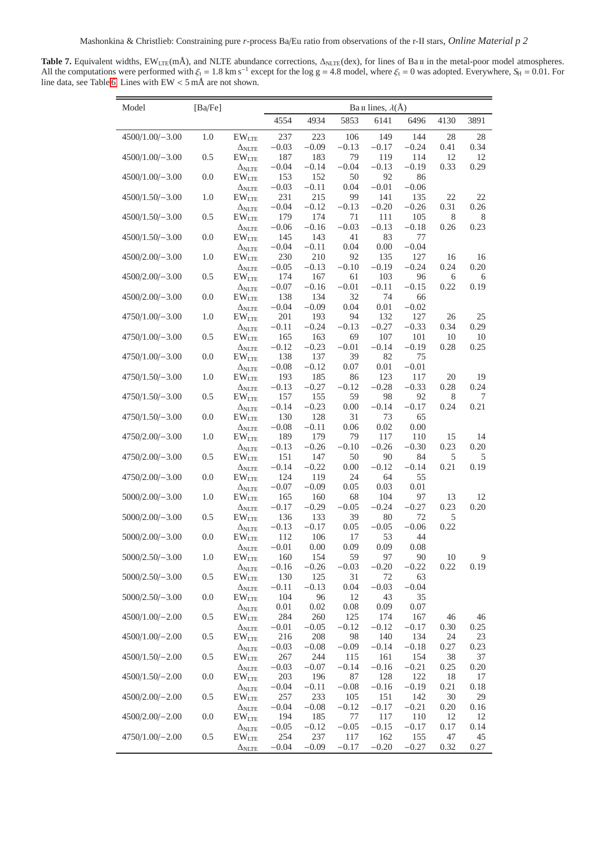<span id="page-9-0"></span>Table 7. Equivalent widths, EW<sub>LTE</sub>(mÅ), and NLTE abundance corrections, Δ<sub>NLTE</sub>(dex), for lines of Ba *π* in the metal-poor model atmospheres. All the computations were performed with  $\xi_t = 1.8$  km s<sup>-1</sup> except for the log g = 4.8 model, where  $\xi_t = 0$  was adopted. Everywhere,  $S_H = 0.01$ . For line data, see Table [6.](#page-8-0) Lines with EW < 5 mÅ are not shown.

| Model             | [Ba/Fe] |                                                   | Ba II lines, $\lambda$ (Å) |                |                |                |                |            |            |  |
|-------------------|---------|---------------------------------------------------|----------------------------|----------------|----------------|----------------|----------------|------------|------------|--|
|                   |         |                                                   | 4554                       | 4934           | 5853           | 6141           | 6496           | 4130       | 3891       |  |
| 4500/1.00/-3.00   | 1.0     | $\mathrm{EW}_\mathrm{LTE}$                        | 237                        | 223            | 106            | 149            | 144            | 28         | 28         |  |
| $4500/1.00/-3.00$ | 0.5     | $\Delta_{NLTE}$<br>$EW$ <sub>LTE</sub>            | $-0.03$<br>187             | $-0.09$<br>183 | $-0.13$<br>79  | $-0.17$<br>119 | $-0.24$<br>114 | 0.41<br>12 | 0.34<br>12 |  |
|                   | 0.0     | $\Delta_{NLTE}$                                   | $-0.04$<br>153             | $-0.14$<br>152 | $-0.04$<br>50  | $-0.13$<br>92  | $-0.19$<br>86  | 0.33       | 0.29       |  |
| $4500/1.00/-3.00$ |         | $EW$ <sub>LTE</sub><br>$\Delta_{\rm NLTE}$        | $-0.03$                    | $-0.11$        | 0.04           | $-0.01$        | $-0.06$        |            |            |  |
| 4500/1.50/-3.00   | 1.0     | $EW$ <sub>LTE</sub>                               | 231                        | 215            | 99             | 141            | 135            | 22         | 22         |  |
| $4500/1.50/-3.00$ | 0.5     | $\Delta_{\rm NLTE}$<br>$EW$ <sub>LTE</sub>        | $-0.04$<br>179             | $-0.12$<br>174 | $-0.13$<br>71  | $-0.20$<br>111 | $-0.26$<br>105 | 0.31<br>8  | 0.26<br>8  |  |
|                   |         | $\Delta_{\rm NLTE}$                               | $-0.06$                    | $-0.16$        | $-0.03$        | $-0.13$        | $-0.18$        | 0.26       | 0.23       |  |
| $4500/1.50/-3.00$ | 0.0     | $\mathrm{EW}_\mathrm{LTE}$<br>$\Delta_{\rm NLTE}$ | 145<br>$-0.04$             | 143<br>$-0.11$ | 41<br>0.04     | 83<br>0.00     | 77<br>$-0.04$  |            |            |  |
| 4500/2.00/-3.00   | 1.0     | $EW$ <sub>LTE</sub>                               | 230                        | 210            | 92             | 135            | 127            | 16         | 16         |  |
| 4500/2.00/-3.00   | 0.5     | $\Delta_{NLTE}$<br>$EW$ <sub>LTE</sub>            | $-0.05$<br>174             | $-0.13$<br>167 | $-0.10$<br>61  | $-0.19$<br>103 | $-0.24$<br>96  | 0.24<br>6  | 0.20<br>6  |  |
|                   |         | $\Delta_{NLTE}$                                   | $-0.07$                    | $-0.16$        | $-0.01$        | $-0.11$        | $-0.15$        | 0.22       | 0.19       |  |
| $4500/2.00/-3.00$ | 0.0     | $EW$ <sub>LTE</sub>                               | 138                        | 134            | 32             | 74             | 66             |            |            |  |
| 4750/1.00/-3.00   | 1.0     | $\Delta_{NLTE}$<br>$EW$ <sub>LTE</sub>            | $-0.04$<br>201             | $-0.09$<br>193 | 0.04<br>94     | 0.01<br>132    | $-0.02$<br>127 | 26         | 25         |  |
|                   |         | $\Delta_{\rm NLTE}$                               | $-0.11$                    | $-0.24$        | $-0.13$        | $-0.27$        | $-0.33$        | 0.34       | 0.29       |  |
| 4750/1.00/-3.00   | 0.5     | $EW$ <sub>LTE</sub><br>$\Delta_{\rm NLTE}$        | 165<br>$-0.12$             | 163<br>$-0.23$ | 69<br>$-0.01$  | 107<br>$-0.14$ | 101<br>$-0.19$ | 10<br>0.28 | 10<br>0.25 |  |
| 4750/1.00/-3.00   | 0.0     | $EW$ <sub>LTE</sub>                               | 138                        | 137            | 39             | 82             | 75             |            |            |  |
|                   |         | $\Delta_{\rm NLTE}$                               | $-0.08$                    | $-0.12$        | 0.07           | 0.01           | $-0.01$        |            |            |  |
| 4750/1.50/-3.00   | 1.0     | $EW$ <sub>LTE</sub><br>$\Delta_{\rm NLTE}$        | 193<br>$-0.13$             | 185<br>$-0.27$ | 86<br>$-0.12$  | 123<br>$-0.28$ | 117<br>$-0.33$ | 20<br>0.28 | 19<br>0.24 |  |
| 4750/1.50/-3.00   | 0.5     | $EW$ <sub>LTE</sub>                               | 157                        | 155            | 59             | 98             | 92             | 8          | 7          |  |
| 4750/1.50/-3.00   | 0.0     | $\Delta_{NLTE}$<br>$EW$ <sub>LTE</sub>            | $-0.14$<br>130             | $-0.23$<br>128 | 0.00<br>31     | $-0.14$<br>73  | $-0.17$<br>65  | 0.24       | 0.21       |  |
|                   |         | $\Delta_{\rm NLTE}$                               | $-0.08$                    | $-0.11$        | 0.06           | 0.02           | 0.00           |            |            |  |
| $4750/2.00/-3.00$ | 1.0     | $EW$ <sub>LTE</sub>                               | 189<br>$-0.13$             | 179<br>$-0.26$ | 79<br>$-0.10$  | 117<br>$-0.26$ | 110<br>$-0.30$ | 15<br>0.23 | 14<br>0.20 |  |
| $4750/2.00/-3.00$ | 0.5     | $\Delta_{\rm NLTE}$<br>$EW$ <sub>LTE</sub>        | 151                        | 147            | 50             | 90             | 84             | 5          | 5          |  |
|                   |         | $\Delta_{\rm NLTE}$                               | $-0.14$                    | $-0.22$        | 0.00           | $-0.12$        | $-0.14$        | 0.21       | 0.19       |  |
| 4750/2.00/-3.00   | 0.0     | $EW$ <sub>LTE</sub><br>$\Delta_{\rm NLTE}$        | 124<br>$-0.07$             | 119<br>$-0.09$ | 24<br>0.05     | 64<br>0.03     | 55<br>0.01     |            |            |  |
| $5000/2.00/-3.00$ | 1.0     | $EW$ <sub>LTE</sub>                               | 165                        | 160            | 68             | 104            | 97             | 13         | 12         |  |
| $5000/2.00/-3.00$ | 0.5     | $\Delta_{NLTE}$<br>$EW$ <sub>LTE</sub>            | $-0.17$<br>136             | $-0.29$<br>133 | $-0.05$<br>39  | $-0.24$<br>80  | $-0.27$<br>72  | 0.23<br>5  | 0.20       |  |
|                   |         | $\Delta_{NLTE}$                                   | $-0.13$                    | $-0.17$        | 0.05           | $-0.05$        | $-0.06$        | 0.22       |            |  |
| $5000/2.00/-3.00$ | 0.0     | $EW$ <sub>LTE</sub>                               | 112                        | 106            | 17             | 53             | 44             |            |            |  |
| $5000/2.50/-3.00$ | 1.0     | $\Delta_{\rm NLTE}$<br>$EW$ <sub>LTE</sub>        | $-0.01$<br>160             | 0.00<br>154    | 0.09<br>59     | 0.09<br>97     | 0.08<br>90     | 10         | 9          |  |
|                   |         | $\Delta_{NLTE}$                                   | $-0.16$                    | $-0.26$        | $-0.03$        | $-0.20$        | $-0.22$        | 0.22       | 0.19       |  |
| $5000/2.50/-3.00$ | 0.5     | $EW$ <sub>LTE</sub><br>$\Delta_{\rm NLTE}$        | 130<br>$-0.11$             | 125<br>$-0.13$ | 31<br>0.04     | 72<br>$-0.03$  | 63<br>$-0.04$  |            |            |  |
| $5000/2.50/-3.00$ | 0.0     | $\mathrm{EW}_\mathrm{LTE}$                        | 104                        | 96             | 12             | 43             | 35             |            |            |  |
| 4500/1.00/-2.00   | $0.5\,$ | $\Delta_{\rm NLTE}$<br>$EW$ <sub>LTE</sub>        | 0.01<br>284                | 0.02<br>260    | 0.08<br>125    | 0.09<br>174    | 0.07<br>167    | 46         | 46         |  |
|                   |         | $\Delta_{\rm NLTE}$                               | $-0.01$                    | $-0.05$        | $-0.12$        | $-0.12$        | $-0.17$        | 0.30       | 0.25       |  |
| 4500/1.00/-2.00   | 0.5     | $EW$ <sub>LTE</sub>                               | 216                        | 208            | 98             | 140            | 134            | 24         | 23         |  |
| 4500/1.50/-2.00   | 0.5     | $\Delta_{NLTE}$<br>$EW$ <sub>LTE</sub>            | $-0.03$<br>267             | $-0.08$<br>244 | $-0.09$<br>115 | $-0.14$<br>161 | $-0.18$<br>154 | 0.27<br>38 | 0.23<br>37 |  |
|                   |         | $\Delta_{\rm NLTE}$                               | $-0.03$                    | $-0.07$        | $-0.14$        | $-0.16$        | $-0.21$        | 0.25       | 0.20       |  |
| 4500/1.50/-2.00   | 0.0     | $EW$ <sub>LTE</sub>                               | 203<br>$-0.04$             | 196<br>$-0.11$ | 87<br>$-0.08$  | 128            | 122<br>$-0.19$ | 18<br>0.21 | 17<br>0.18 |  |
| 4500/2.00/-2.00   | 0.5     | $\Delta_{NLTE}$<br>$EW$ <sub>LTE</sub>            | 257                        | 233            | 105            | $-0.16$<br>151 | 142            | 30         | 29         |  |
|                   |         | $\Delta_{NLTE}$                                   | $-0.04$                    | $-0.08$        | $-0.12$        | $-0.17$        | $-0.21$        | 0.20       | 0.16       |  |
| 4500/2.00/-2.00   | 0.0     | $EW$ <sub>LTE</sub><br>$\Delta_{\rm NLTE}$        | 194<br>$-0.05$             | 185<br>$-0.12$ | 77<br>$-0.05$  | 117<br>$-0.15$ | 110<br>$-0.17$ | 12<br>0.17 | 12<br>0.14 |  |
| $4750/1.00/-2.00$ | 0.5     | $EW$ <sub>LTE</sub>                               | 254                        | 237            | 117            | 162            | 155            | 47         | 45         |  |
|                   |         | $\Delta_{NLTE}$                                   | $-0.04$                    | $-0.09$        | $-0.17$        | $-0.20$        | $-0.27$        | 0.32       | 0.27       |  |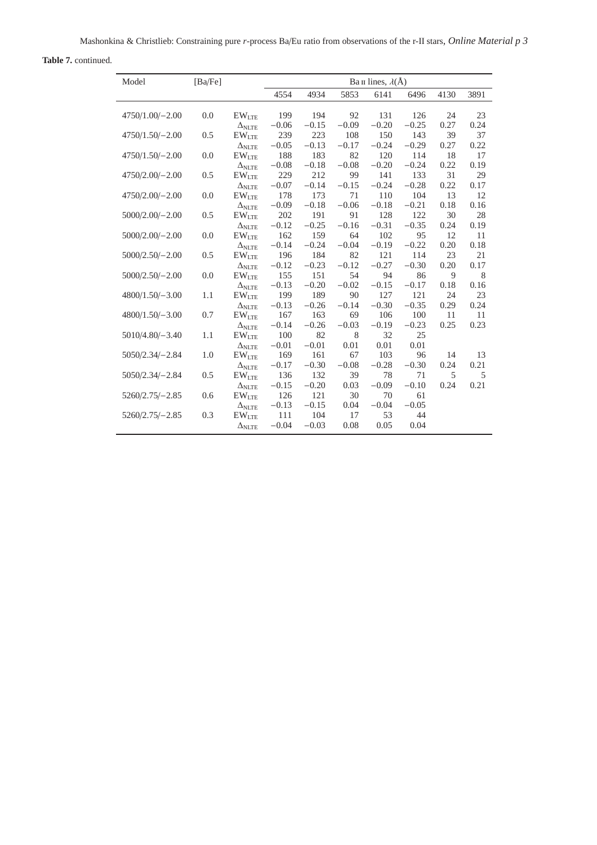**Table 7.** continued.

| Model             | [Ba/Fe] |                            | Ва п lines, $\lambda$ (Å) |                |            |            |            |      |      |
|-------------------|---------|----------------------------|---------------------------|----------------|------------|------------|------------|------|------|
|                   |         |                            | 4554                      | 4934           | 5853       | 6141       | 6496       | 4130 | 3891 |
| 4750/1.00/-2.00   | 0.0     | $EW$ <sub>LTE</sub>        | 199                       | 194            | 92         | 131        | 126        | 24   | 23   |
|                   |         | $\Delta_{NLTE}$            | $-0.06$                   | $-0.15$        | $-0.09$    | $-0.20$    | $-0.25$    | 0.27 | 0.24 |
| 4750/1.50/-2.00   | 0.5     | $\mathrm{EW}_\mathrm{LTE}$ | 239                       | 223            | 108        | 150        | 143        | 39   | 37   |
|                   |         | $\Delta_{\rm{NLTE}}$       | $-0.05$                   | $-0.13$        | $-0.17$    | $-0.24$    | $-0.29$    | 0.27 | 0.22 |
| $4750/1.50/-2.00$ | 0.0     | EW <sub>LTE</sub>          | 188                       | 183            | 82         | 120        | 114        | 18   | 17   |
|                   |         | $\Delta_{\rm NLTE}$        | $-0.08$                   | $-0.18$        | $-0.08$    | $-0.20$    | $-0.24$    | 0.22 | 0.19 |
| 4750/2.00/-2.00   | 0.5     | EW <sub>LTE</sub>          | 229                       | 212            | 99         | 141        | 133        | 31   | 29   |
|                   |         | $\Delta_{\rm NLTE}$        | $-0.07$                   | $-0.14$        | $-0.15$    | $-0.24$    | $-0.28$    | 0.22 | 0.17 |
| $4750/2.00/-2.00$ | 0.0     | $EW$ <sub>LTE</sub>        | 178                       | 173            | 71         | 110        | 104        | 13   | 12   |
|                   |         | $\Delta$ nlte              | $-0.09$                   | $-0.18$        | $-0.06$    | $-0.18$    | $-0.21$    | 0.18 | 0.16 |
| $5000/2.00/-2.00$ | 0.5     | EW <sub>LTE</sub>          | 202                       | 191            | 91         | 128        | 122        | 30   | 28   |
|                   |         | $\Delta$ nlte              | $-0.12$                   | $-0.25$        | $-0.16$    | $-0.31$    | $-0.35$    | 0.24 | 0.19 |
| $5000/2.00/-2.00$ | 0.0     | $EW$ <sub>LTE</sub>        | 162                       | 159            | 64         | 102        | 95         | 12   | 11   |
|                   |         | $\Delta_{NLTE}$            | $-0.14$                   | $-0.24$        | $-0.04$    | $-0.19$    | $-0.22$    | 0.20 | 0.18 |
| $5000/2.50/-2.00$ | 0.5     | EW <sub>LTE</sub>          | 196                       | 184            | 82         | 121        | 114        | 23   | 21   |
|                   |         | $\Delta_{NLTE}$            | $-0.12$                   | $-0.23$        | $-0.12$    | $-0.27$    | $-0.30$    | 0.20 | 0.17 |
| $5000/2.50/-2.00$ | 0.0     | EW <sub>LTE</sub>          | 155                       | 151            | 54         | 94         | 86         | 9    | 8    |
|                   |         | $\Delta_{NLTE}$            | $-0.13$                   | $-0.20$        | $-0.02$    | $-0.15$    | $-0.17$    | 0.18 | 0.16 |
| $4800/1.50/-3.00$ | 1.1     | EW <sub>LTE</sub>          | 199                       | 189            | 90         | 127        | 121        | 24   | 23   |
|                   |         | $\Delta_{\rm{NLTE}}$       | $-0.13$                   | $-0.26$        | $-0.14$    | $-0.30$    | $-0.35$    | 0.29 | 0.24 |
| $4800/1.50/-3.00$ | 0.7     | EW <sub>LTE</sub>          | 167                       | 163            | 69         | 106        | 100        | 11   | 11   |
|                   |         | $\Delta$ ni te             | $-0.14$                   | $-0.26$        | $-0.03$    | $-0.19$    | $-0.23$    | 0.25 | 0.23 |
| $5010/4.80/-3.40$ | 1.1     | $EW$ <sub>LTE</sub>        | 100                       | 82             | 8          | 32         | 25         |      |      |
|                   |         | $\Delta_{\rm{NITE}}$       | $-0.01$                   | $-0.01$        | 0.01       | 0.01       | 0.01       |      |      |
| 5050/2.34/-2.84   | 1.0     | $EW$ <sub>LTE</sub>        | 169                       | 161            | 67         | 103        | 96         | 14   | 13   |
|                   |         | $\Delta$ ni te             | $-0.17$                   | $-0.30$        | $-0.08$    | $-0.28$    | $-0.30$    | 0.24 | 0.21 |
| 5050/2.34/-2.84   | 0.5     | $EW_{LTE}$                 | 136                       | 132            | 39         | 78         | 71         | 5    | 5    |
|                   |         | $\Delta_{\rm NLTE}$        | $-0.15$                   | $-0.20$        | 0.03       | $-0.09$    | $-0.10$    | 0.24 | 0.21 |
| $5260/2.75/-2.85$ | 0.6     | EW <sub>LTE</sub>          | 126                       | 121            | 30         | 70         | 61         |      |      |
|                   |         | $\Delta_{NLTE}$            | $-0.13$                   | $-0.15$        | 0.04       | $-0.04$    | $-0.05$    |      |      |
| $5260/2.75/-2.85$ | 0.3     | $EW$ LTE<br>$\Delta$ nlte  | 111<br>$-0.04$            | 104<br>$-0.03$ | 17<br>0.08 | 53<br>0.05 | 44<br>0.04 |      |      |